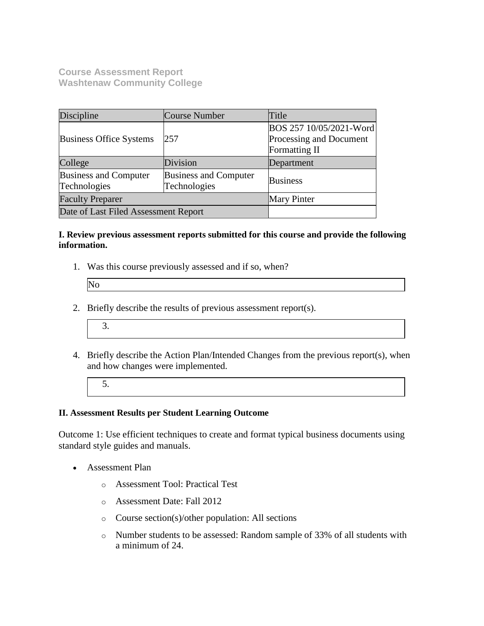**Course Assessment Report Washtenaw Community College**

| Discipline                                   | <b>Course Number</b>                         | Title                                                               |
|----------------------------------------------|----------------------------------------------|---------------------------------------------------------------------|
| <b>Business Office Systems</b>               | 257                                          | BOS 257 10/05/2021-Word<br>Processing and Document<br>Formatting II |
| College                                      | Division                                     | Department                                                          |
| <b>Business and Computer</b><br>Technologies | <b>Business and Computer</b><br>Technologies | <b>Business</b>                                                     |
| <b>Faculty Preparer</b>                      |                                              | <b>Mary Pinter</b>                                                  |
| Date of Last Filed Assessment Report         |                                              |                                                                     |

### **I. Review previous assessment reports submitted for this course and provide the following information.**

1. Was this course previously assessed and if so, when?

| $\overline{\text{Nc}}$ |  |  |
|------------------------|--|--|
|                        |  |  |

- 2. Briefly describe the results of previous assessment report(s).
	- 3.
- 4. Briefly describe the Action Plan/Intended Changes from the previous report(s), when and how changes were implemented.
	- 5.

#### **II. Assessment Results per Student Learning Outcome**

Outcome 1: Use efficient techniques to create and format typical business documents using standard style guides and manuals.

- Assessment Plan
	- o Assessment Tool: Practical Test
	- o Assessment Date: Fall 2012
	- o Course section(s)/other population: All sections
	- o Number students to be assessed: Random sample of 33% of all students with a minimum of 24.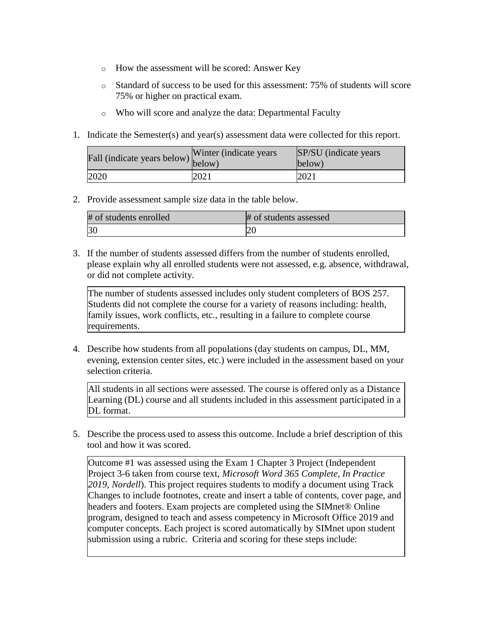- o How the assessment will be scored: Answer Key
- o Standard of success to be used for this assessment: 75% of students will score 75% or higher on practical exam.
- o Who will score and analyze the data: Departmental Faculty
- 1. Indicate the Semester(s) and year(s) assessment data were collected for this report.

| riall (indicate years below) below) | Winter (indicate years) | SP/SU (indicate years)<br>below) |
|-------------------------------------|-------------------------|----------------------------------|
| 2020                                | 2021                    | 2021                             |

2. Provide assessment sample size data in the table below.

| # of students enrolled | # of students assessed |
|------------------------|------------------------|
|                        | $\sim$<br>∠∪           |

3. If the number of students assessed differs from the number of students enrolled, please explain why all enrolled students were not assessed, e.g. absence, withdrawal, or did not complete activity.

The number of students assessed includes only student completers of BOS 257. Students did not complete the course for a variety of reasons including: health, family issues, work conflicts, etc., resulting in a failure to complete course requirements.

4. Describe how students from all populations (day students on campus, DL, MM, evening, extension center sites, etc.) were included in the assessment based on your selection criteria.

All students in all sections were assessed. The course is offered only as a Distance Learning (DL) course and all students included in this assessment participated in a DL format.

5. Describe the process used to assess this outcome. Include a brief description of this tool and how it was scored.

Outcome #1 was assessed using the Exam 1 Chapter 3 Project (Independent Project 3-6 taken from course text, *Microsoft Word 365 Complete, In Practice 2019, Nordell*). This project requires students to modify a document using Track Changes to include footnotes, create and insert a table of contents, cover page, and headers and footers. Exam projects are completed using the SIMnet® Online program, designed to teach and assess competency in Microsoft Office 2019 and computer concepts. Each project is scored automatically by SIMnet upon student submission using a rubric. Criteria and scoring for these steps include: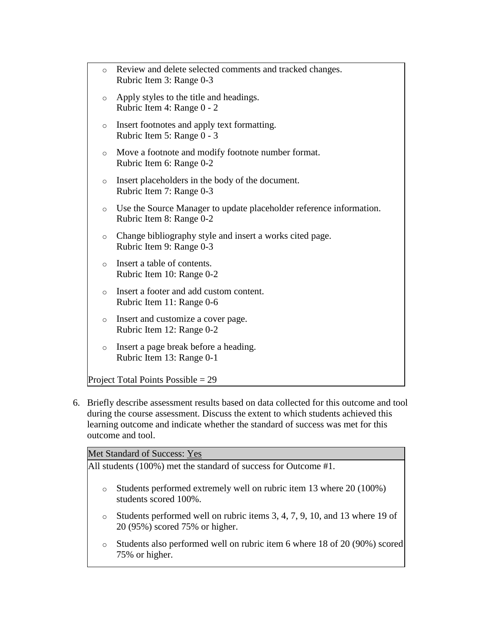6. Briefly describe assessment results based on data collected for this outcome and tool during the course assessment. Discuss the extent to which students achieved this learning outcome and indicate whether the standard of success was met for this outcome and tool.

Met Standard of Success: Yes

All students (100%) met the standard of success for Outcome #1.

- o Students performed extremely well on rubric item 13 where 20 (100%) students scored 100%.
- o Students performed well on rubric items 3, 4, 7, 9, 10, and 13 where 19 of 20 (95%) scored 75% or higher.
- o Students also performed well on rubric item 6 where 18 of 20 (90%) scored 75% or higher.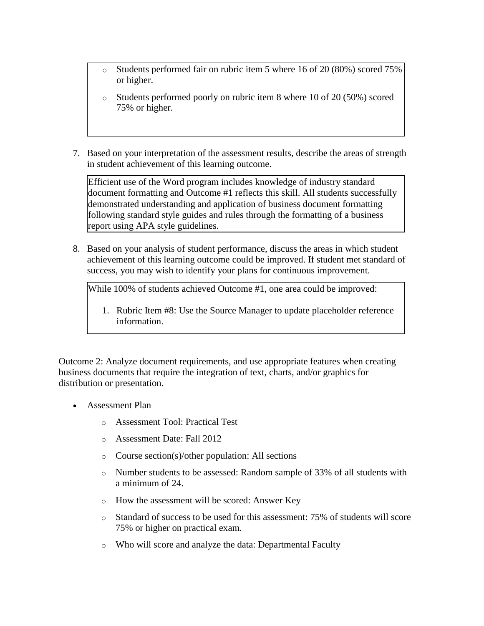- o Students performed fair on rubric item 5 where 16 of 20 (80%) scored 75% or higher.
- o Students performed poorly on rubric item 8 where 10 of 20 (50%) scored 75% or higher.
- 7. Based on your interpretation of the assessment results, describe the areas of strength in student achievement of this learning outcome.

Efficient use of the Word program includes knowledge of industry standard document formatting and Outcome #1 reflects this skill. All students successfully demonstrated understanding and application of business document formatting following standard style guides and rules through the formatting of a business report using APA style guidelines.

8. Based on your analysis of student performance, discuss the areas in which student achievement of this learning outcome could be improved. If student met standard of success, you may wish to identify your plans for continuous improvement.

While 100% of students achieved Outcome #1, one area could be improved:

1. Rubric Item #8: Use the Source Manager to update placeholder reference information.

Outcome 2: Analyze document requirements, and use appropriate features when creating business documents that require the integration of text, charts, and/or graphics for distribution or presentation.

- Assessment Plan
	- o Assessment Tool: Practical Test
	- o Assessment Date: Fall 2012
	- o Course section(s)/other population: All sections
	- o Number students to be assessed: Random sample of 33% of all students with a minimum of 24.
	- o How the assessment will be scored: Answer Key
	- o Standard of success to be used for this assessment: 75% of students will score 75% or higher on practical exam.
	- o Who will score and analyze the data: Departmental Faculty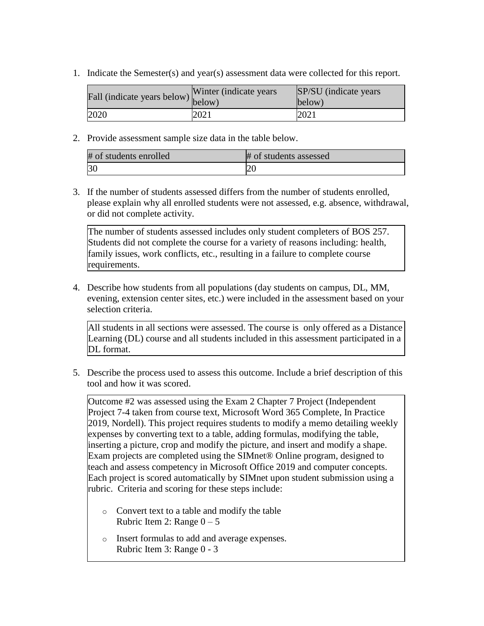1. Indicate the Semester(s) and year(s) assessment data were collected for this report.

| Fall (indicate years below) below) | Winter (indicate years) | SP/SU (indicate years)<br>below) |
|------------------------------------|-------------------------|----------------------------------|
| 2020                               | 2021                    | 2021                             |

2. Provide assessment sample size data in the table below.

| # of students enrolled | # of students assessed |
|------------------------|------------------------|
| 30                     |                        |

3. If the number of students assessed differs from the number of students enrolled, please explain why all enrolled students were not assessed, e.g. absence, withdrawal, or did not complete activity.

The number of students assessed includes only student completers of BOS 257. Students did not complete the course for a variety of reasons including: health, family issues, work conflicts, etc., resulting in a failure to complete course requirements.

4. Describe how students from all populations (day students on campus, DL, MM, evening, extension center sites, etc.) were included in the assessment based on your selection criteria.

All students in all sections were assessed. The course is only offered as a Distance Learning (DL) course and all students included in this assessment participated in a DL format.

5. Describe the process used to assess this outcome. Include a brief description of this tool and how it was scored.

Outcome #2 was assessed using the Exam 2 Chapter 7 Project (Independent Project 7-4 taken from course text, Microsoft Word 365 Complete, In Practice 2019, Nordell). This project requires students to modify a memo detailing weekly expenses by converting text to a table, adding formulas, modifying the table, inserting a picture, crop and modify the picture, and insert and modify a shape. Exam projects are completed using the SIMnet® Online program, designed to teach and assess competency in Microsoft Office 2019 and computer concepts. Each project is scored automatically by SIMnet upon student submission using a rubric. Criteria and scoring for these steps include:

- o Convert text to a table and modify the table Rubric Item 2: Range  $0 - 5$
- o Insert formulas to add and average expenses. Rubric Item 3: Range 0 - 3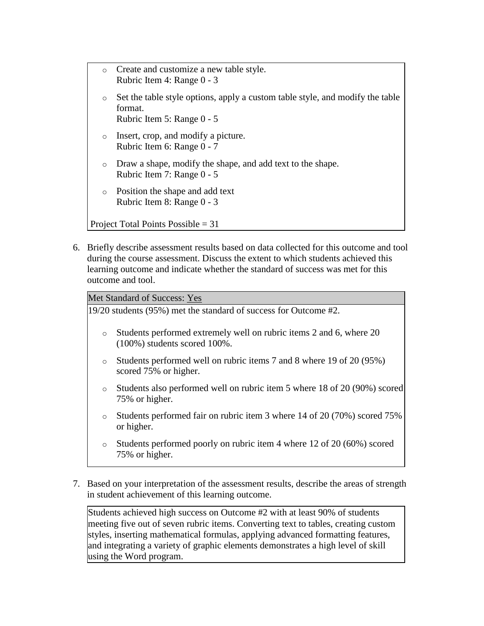- o Create and customize a new table style. Rubric Item 4: Range 0 - 3 Set the table style options, apply a custom table style, and modify the table format. Rubric Item 5: Range 0 - 5 o Insert, crop, and modify a picture. Rubric Item 6: Range 0 - 7 o Draw a shape, modify the shape, and add text to the shape. Rubric Item 7: Range 0 - 5 o Position the shape and add text Rubric Item 8: Range 0 - 3 Project Total Points Possible = 31
- 6. Briefly describe assessment results based on data collected for this outcome and tool during the course assessment. Discuss the extent to which students achieved this learning outcome and indicate whether the standard of success was met for this outcome and tool.

Met Standard of Success: Yes

19/20 students (95%) met the standard of success for Outcome #2.

- o Students performed extremely well on rubric items 2 and 6, where 20 (100%) students scored 100%.
- o Students performed well on rubric items 7 and 8 where 19 of 20 (95%) scored 75% or higher.
- o Students also performed well on rubric item 5 where 18 of 20 (90%) scored 75% or higher.
- o Students performed fair on rubric item 3 where 14 of 20 (70%) scored 75% or higher.
- o Students performed poorly on rubric item 4 where 12 of 20 (60%) scored 75% or higher.
- 7. Based on your interpretation of the assessment results, describe the areas of strength in student achievement of this learning outcome.

Students achieved high success on Outcome #2 with at least 90% of students meeting five out of seven rubric items. Converting text to tables, creating custom styles, inserting mathematical formulas, applying advanced formatting features, and integrating a variety of graphic elements demonstrates a high level of skill using the Word program.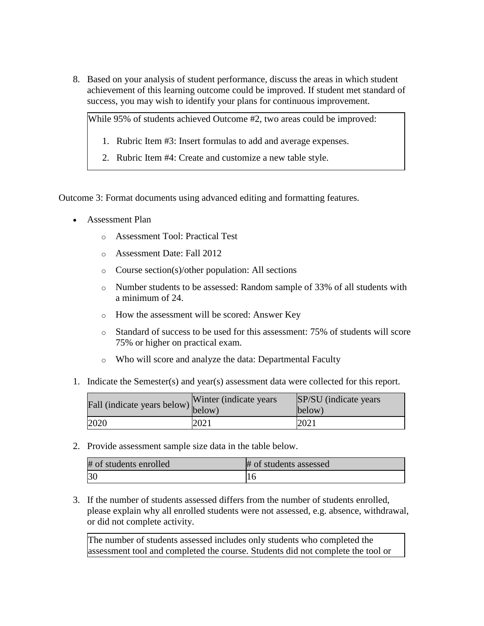8. Based on your analysis of student performance, discuss the areas in which student achievement of this learning outcome could be improved. If student met standard of success, you may wish to identify your plans for continuous improvement.

While 95% of students achieved Outcome #2, two areas could be improved:

- 1. Rubric Item #3: Insert formulas to add and average expenses.
- 2. Rubric Item #4: Create and customize a new table style.

Outcome 3: Format documents using advanced editing and formatting features.

- Assessment Plan
	- o Assessment Tool: Practical Test
	- o Assessment Date: Fall 2012
	- o Course section(s)/other population: All sections
	- o Number students to be assessed: Random sample of 33% of all students with a minimum of 24.
	- o How the assessment will be scored: Answer Key
	- o Standard of success to be used for this assessment: 75% of students will score 75% or higher on practical exam.
	- o Who will score and analyze the data: Departmental Faculty
- 1. Indicate the Semester(s) and year(s) assessment data were collected for this report.

| Fall (indicate years below) below) | Winter (indicate years) | SP/SU (indicate years)<br>below) |
|------------------------------------|-------------------------|----------------------------------|
| 2020                               | 2021                    | 2021                             |

2. Provide assessment sample size data in the table below.

| # of students enrolled | # of students assessed |
|------------------------|------------------------|
| 3 <sup>0</sup>         |                        |

3. If the number of students assessed differs from the number of students enrolled, please explain why all enrolled students were not assessed, e.g. absence, withdrawal, or did not complete activity.

The number of students assessed includes only students who completed the assessment tool and completed the course. Students did not complete the tool or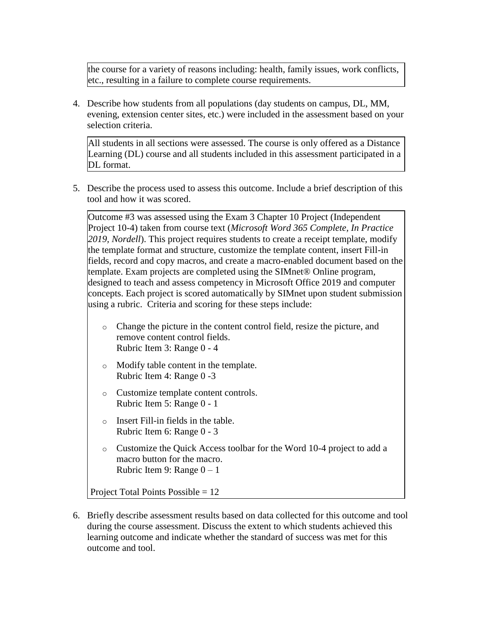the course for a variety of reasons including: health, family issues, work conflicts, etc., resulting in a failure to complete course requirements.

4. Describe how students from all populations (day students on campus, DL, MM, evening, extension center sites, etc.) were included in the assessment based on your selection criteria.

All students in all sections were assessed. The course is only offered as a Distance Learning (DL) course and all students included in this assessment participated in a DL format.

5. Describe the process used to assess this outcome. Include a brief description of this tool and how it was scored.

Outcome #3 was assessed using the Exam 3 Chapter 10 Project (Independent Project 10-4) taken from course text (*Microsoft Word 365 Complete, In Practice 2019, Nordell*). This project requires students to create a receipt template, modify the template format and structure, customize the template content, insert Fill-in fields, record and copy macros, and create a macro-enabled document based on the template. Exam projects are completed using the SIMnet® Online program, designed to teach and assess competency in Microsoft Office 2019 and computer concepts. Each project is scored automatically by SIMnet upon student submission using a rubric. Criteria and scoring for these steps include:

- o Change the picture in the content control field, resize the picture, and remove content control fields. Rubric Item 3: Range 0 - 4
- o Modify table content in the template. Rubric Item 4: Range 0 -3
- o Customize template content controls. Rubric Item 5: Range 0 - 1
- o Insert Fill-in fields in the table. Rubric Item 6: Range 0 - 3
- o Customize the Quick Access toolbar for the Word 10-4 project to add a macro button for the macro. Rubric Item 9: Range  $0 - 1$

Project Total Points Possible = 12

6. Briefly describe assessment results based on data collected for this outcome and tool during the course assessment. Discuss the extent to which students achieved this learning outcome and indicate whether the standard of success was met for this outcome and tool.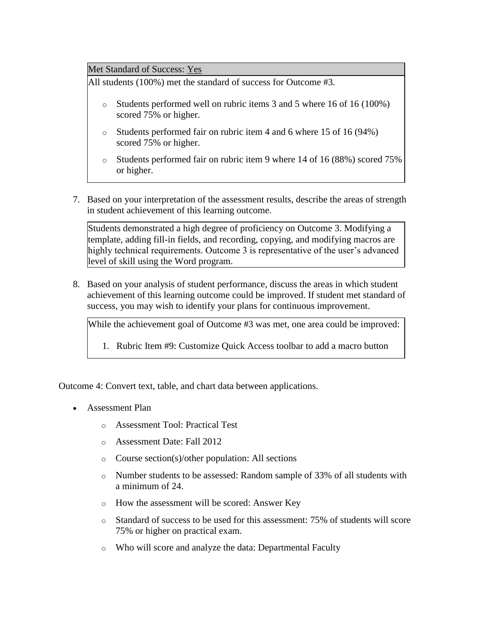Met Standard of Success: Yes

All students (100%) met the standard of success for Outcome #3.

- o Students performed well on rubric items 3 and 5 where 16 of 16 (100%) scored 75% or higher.
- o Students performed fair on rubric item 4 and 6 where 15 of 16 (94%) scored 75% or higher.
- o Students performed fair on rubric item 9 where 14 of 16 (88%) scored 75% or higher.
- 7. Based on your interpretation of the assessment results, describe the areas of strength in student achievement of this learning outcome.

Students demonstrated a high degree of proficiency on Outcome 3. Modifying a template, adding fill-in fields, and recording, copying, and modifying macros are highly technical requirements. Outcome 3 is representative of the user's advanced level of skill using the Word program.

8. Based on your analysis of student performance, discuss the areas in which student achievement of this learning outcome could be improved. If student met standard of success, you may wish to identify your plans for continuous improvement.

While the achievement goal of Outcome #3 was met, one area could be improved:

1. Rubric Item #9: Customize Quick Access toolbar to add a macro button

Outcome 4: Convert text, table, and chart data between applications.

- Assessment Plan
	- o Assessment Tool: Practical Test
	- o Assessment Date: Fall 2012
	- o Course section(s)/other population: All sections
	- o Number students to be assessed: Random sample of 33% of all students with a minimum of 24.
	- o How the assessment will be scored: Answer Key
	- o Standard of success to be used for this assessment: 75% of students will score 75% or higher on practical exam.
	- o Who will score and analyze the data: Departmental Faculty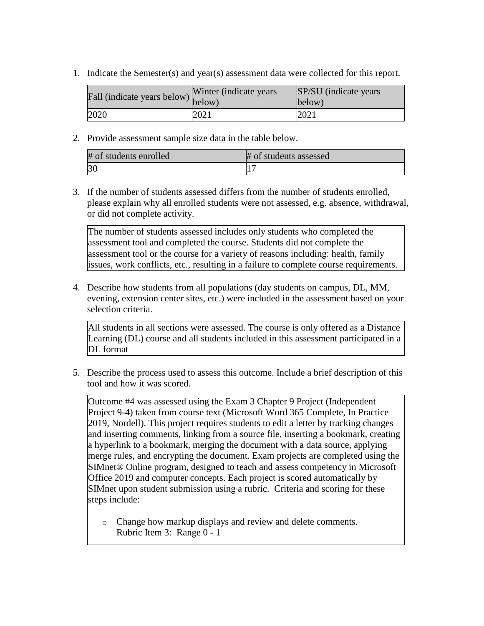1. Indicate the Semester(s) and year(s) assessment data were collected for this report.

| Fall (indicate years below) below) | Winter (indicate years) | SP/SU (indicate years)<br>below) |
|------------------------------------|-------------------------|----------------------------------|
| 2020                               | 2021                    | 2021                             |

2. Provide assessment sample size data in the table below.

| # of students enrolled | # of students assessed |
|------------------------|------------------------|
| 30                     |                        |

3. If the number of students assessed differs from the number of students enrolled, please explain why all enrolled students were not assessed, e.g. absence, withdrawal, or did not complete activity.

The number of students assessed includes only students who completed the assessment tool and completed the course. Students did not complete the assessment tool or the course for a variety of reasons including: health, family issues, work conflicts, etc., resulting in a failure to complete course requirements.

4. Describe how students from all populations (day students on campus, DL, MM, evening, extension center sites, etc.) were included in the assessment based on your selection criteria.

All students in all sections were assessed. The course is only offered as a Distance Learning (DL) course and all students included in this assessment participated in a DL format

5. Describe the process used to assess this outcome. Include a brief description of this tool and how it was scored.

Outcome #4 was assessed using the Exam 3 Chapter 9 Project (Independent Project 9-4) taken from course text (Microsoft Word 365 Complete, In Practice 2019, Nordell). This project requires students to edit a letter by tracking changes and inserting comments, linking from a source file, inserting a bookmark, creating a hyperlink to a bookmark, merging the document with a data source, applying merge rules, and encrypting the document. Exam projects are completed using the SIMnet® Online program, designed to teach and assess competency in Microsoft Office 2019 and computer concepts. Each project is scored automatically by SIMnet upon student submission using a rubric. Criteria and scoring for these steps include:

o Change how markup displays and review and delete comments. Rubric Item 3: Range 0 - 1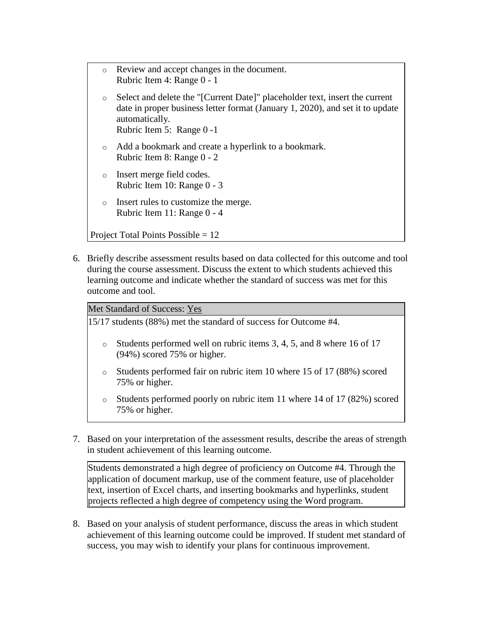| $\circ$ | Review and accept changes in the document.<br>Rubric Item 4: Range 0 - 1                                                                                                                                    |
|---------|-------------------------------------------------------------------------------------------------------------------------------------------------------------------------------------------------------------|
| $\circ$ | Select and delete the "[Current Date]" placeholder text, insert the current<br>date in proper business letter format (January 1, 2020), and set it to update<br>automatically.<br>Rubric Item 5: Range 0 -1 |
| $\circ$ | Add a bookmark and create a hyperlink to a bookmark.<br>Rubric Item 8: Range 0 - 2                                                                                                                          |
| $\circ$ | Insert merge field codes.<br>Rubric Item 10: Range 0 - 3                                                                                                                                                    |
| $\circ$ | Insert rules to customize the merge.<br>Rubric Item 11: Range 0 - 4                                                                                                                                         |
|         | Project Total Points Possible $= 12$                                                                                                                                                                        |
|         |                                                                                                                                                                                                             |

6. Briefly describe assessment results based on data collected for this outcome and tool during the course assessment. Discuss the extent to which students achieved this learning outcome and indicate whether the standard of success was met for this outcome and tool.

#### Met Standard of Success: Yes

15/17 students (88%) met the standard of success for Outcome #4.

- o Students performed well on rubric items 3, 4, 5, and 8 where 16 of 17 (94%) scored 75% or higher.
- o Students performed fair on rubric item 10 where 15 of 17 (88%) scored 75% or higher.
- o Students performed poorly on rubric item 11 where 14 of 17 (82%) scored 75% or higher.
- 7. Based on your interpretation of the assessment results, describe the areas of strength in student achievement of this learning outcome.

Students demonstrated a high degree of proficiency on Outcome #4. Through the application of document markup, use of the comment feature, use of placeholder text, insertion of Excel charts, and inserting bookmarks and hyperlinks, student projects reflected a high degree of competency using the Word program.

8. Based on your analysis of student performance, discuss the areas in which student achievement of this learning outcome could be improved. If student met standard of success, you may wish to identify your plans for continuous improvement.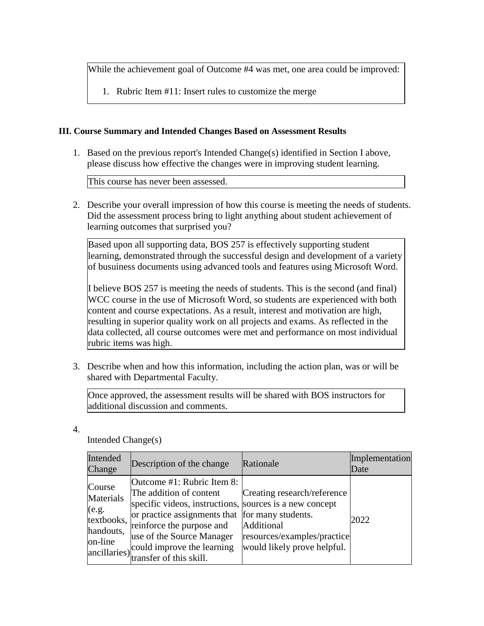While the achievement goal of Outcome #4 was met, one area could be improved:

1. Rubric Item #11: Insert rules to customize the merge

## **III. Course Summary and Intended Changes Based on Assessment Results**

1. Based on the previous report's Intended Change(s) identified in Section I above, please discuss how effective the changes were in improving student learning.

This course has never been assessed.

2. Describe your overall impression of how this course is meeting the needs of students. Did the assessment process bring to light anything about student achievement of learning outcomes that surprised you?

Based upon all supporting data, BOS 257 is effectively supporting student learning, demonstrated through the successful design and development of a variety of busuiness documents using advanced tools and features using Microsoft Word.

I believe BOS 257 is meeting the needs of students. This is the second (and final) WCC course in the use of Microsoft Word, so students are experienced with both content and course expectations. As a result, interest and motivation are high, resulting in superior quality work on all projects and exams. As reflected in the data collected, all course outcomes were met and performance on most individual rubric items was high.

3. Describe when and how this information, including the action plan, was or will be shared with Departmental Faculty.

Once approved, the assessment results will be shared with BOS instructors for additional discussion and comments.

4.

Intended Change(s)

| Intended<br>Change                                                 | Description of the change                                                                                                                                                                                                                                                                           | Rationale                                                                                               | Implementation<br>Date |
|--------------------------------------------------------------------|-----------------------------------------------------------------------------------------------------------------------------------------------------------------------------------------------------------------------------------------------------------------------------------------------------|---------------------------------------------------------------------------------------------------------|------------------------|
| Course<br>Materials<br>(e.g.<br>textbooks,<br>handouts,<br>on-line | Outcome #1: Rubric Item 8:<br>The addition of content<br>specific videos, instructions, sources is a new concept<br>or practice assignments that for many students.<br>reinforce the purpose and<br>use of the Source Manager<br>ancillaries) could improve the learning<br>transfer of this skill. | Creating research/reference<br>Additional<br>resources/examples/practice<br>would likely prove helpful. | 2022                   |